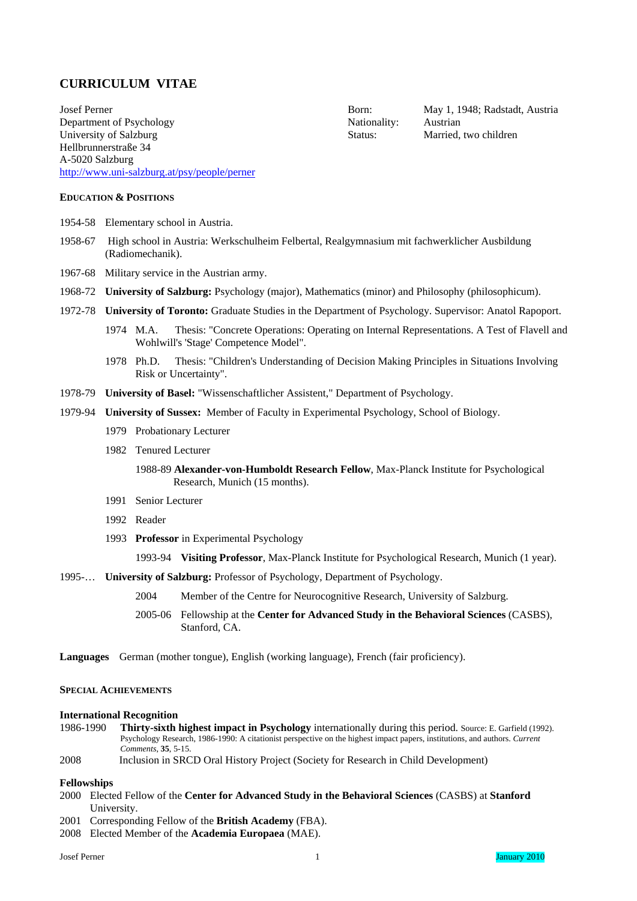## **CURRICULUM VITAE**

Josef Perner **Born:** May 1, 1948; Radstadt, Austria Department of Psychology Nationality: Austrian University of Salzburg Status: Married, two children Hellbrunnerstraße 34 A-5020 Salzburg <http://www.uni-salzburg.at/psy/people/perner>

## **EDUCATION & POSITIONS**

- 1954-58 Elementary school in Austria.
- 1958-67 High school in Austria: Werkschulheim Felbertal, Realgymnasium mit fachwerklicher Ausbildung (Radiomechanik).
- 1967-68 Military service in the Austrian army.
- 1968-72 **University of Salzburg:** Psychology (major), Mathematics (minor) and Philosophy (philosophicum).
- 1972-78 **University of Toronto:** Graduate Studies in the Department of Psychology. Supervisor: Anatol Rapoport.
	- 1974 M.A. Thesis: "Concrete Operations: Operating on Internal Representations. A Test of Flavell and Wohlwill's 'Stage' Competence Model".
	- 1978 Ph.D. Thesis: "Children's Understanding of Decision Making Principles in Situations Involving Risk or Uncertainty".
- 1978-79 **University of Basel:** "Wissenschaftlicher Assistent," Department of Psychology.
- 1979-94 **University of Sussex:** Member of Faculty in Experimental Psychology, School of Biology.
	- 1979 Probationary Lecturer
	- 1982 Tenured Lecturer
		- 1988-89 **Alexander-von-Humboldt Research Fellow**, Max-Planck Institute for Psychological Research, Munich (15 months).
	- 1991 Senior Lecturer
	- 1992 Reader
	- 1993 **Professor** in Experimental Psychology

1993-94 **Visiting Professor**, Max-Planck Institute for Psychological Research, Munich (1 year).

- 1995-… **University of Salzburg:** Professor of Psychology, Department of Psychology.
	- 2004 Member of the Centre for Neurocognitive Research, University of Salzburg.
	- 2005-06 Fellowship at the **Center for Advanced Study in the Behavioral Sciences** (CASBS), Stanford, CA.
- **Languages** German (mother tongue), English (working language), French (fair proficiency).

#### **SPECIAL ACHIEVEMENTS**

#### **International Recognition**

1986-1990 **Thirty-sixth highest impact in Psychology** internationally during this period. Source: E. Garfield (1992). Psychology Research, 1986-1990: A citationist perspective on the highest impact papers, institutions, and authors. *Current Comments*, **35**, 5-15.

## 2008 Inclusion in SRCD Oral History Project (Society for Research in Child Development)

## **Fellowships**

- 2000 Elected Fellow of the **Center for Advanced Study in the Behavioral Sciences** (CASBS) at **Stanford** University.
- 2001 Corresponding Fellow of the **British Academy** (FBA).
- 2008 Elected Member of the **Academia Europaea** (MAE).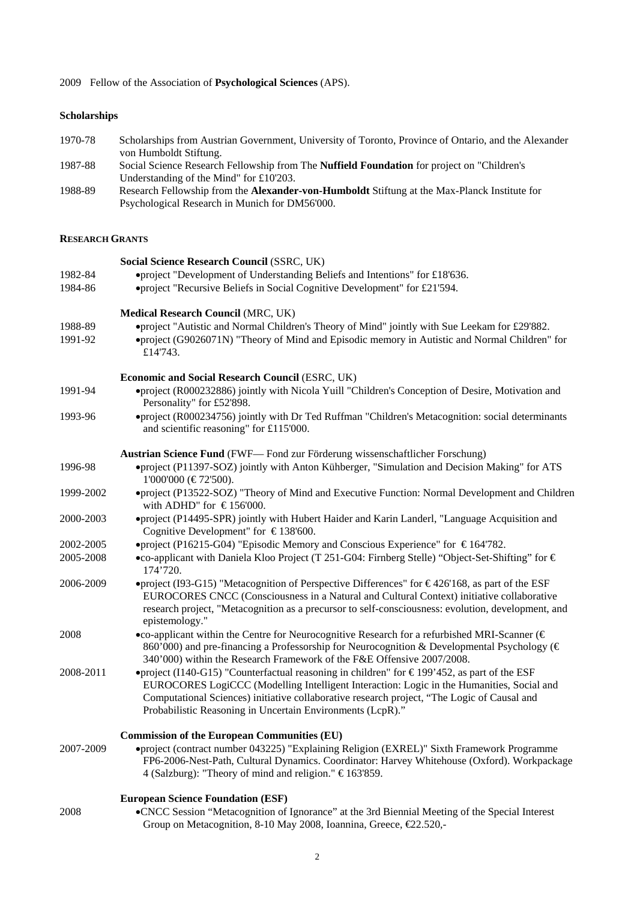2009 Fellow of the Association of **Psychological Sciences** (APS).

## **Scholarships**

- 1970-78 Scholarships from Austrian Government, University of Toronto, Province of Ontario, and the Alexander von Humboldt Stiftung.
- 1987-88 Social Science Research Fellowship from The **Nuffield Foundation** for project on "Children's Understanding of the Mind" for £10'203.
- 1988-89 Research Fellowship from the **Alexander-von-Humboldt** Stiftung at the Max-Planck Institute for Psychological Research in Munich for DM56'000.

#### **RESEARCH GRANTS**

|           | Social Science Research Council (SSRC, UK)                                                                                                                                                                                                                                                                                                            |
|-----------|-------------------------------------------------------------------------------------------------------------------------------------------------------------------------------------------------------------------------------------------------------------------------------------------------------------------------------------------------------|
| 1982-84   | •project "Development of Understanding Beliefs and Intentions" for £18'636.                                                                                                                                                                                                                                                                           |
| 1984-86   | •project "Recursive Beliefs in Social Cognitive Development" for £21'594.                                                                                                                                                                                                                                                                             |
|           | <b>Medical Research Council (MRC, UK)</b>                                                                                                                                                                                                                                                                                                             |
| 1988-89   | •project "Autistic and Normal Children's Theory of Mind" jointly with Sue Leekam for £29'882.                                                                                                                                                                                                                                                         |
| 1991-92   | •project (G9026071N) "Theory of Mind and Episodic memory in Autistic and Normal Children" for<br>£14'743.                                                                                                                                                                                                                                             |
|           | Economic and Social Research Council (ESRC, UK)                                                                                                                                                                                                                                                                                                       |
| 1991-94   | •project (R000232886) jointly with Nicola Yuill "Children's Conception of Desire, Motivation and<br>Personality" for £52'898.                                                                                                                                                                                                                         |
| 1993-96   | •project (R000234756) jointly with Dr Ted Ruffman "Children's Metacognition: social determinants<br>and scientific reasoning" for £115'000.                                                                                                                                                                                                           |
|           | <b>Austrian Science Fund (FWF— Fond zur Förderung wissenschaftlicher Forschung)</b>                                                                                                                                                                                                                                                                   |
| 1996-98   | •project (P11397-SOZ) jointly with Anton Kühberger, "Simulation and Decision Making" for ATS<br>1'000'000 (€72'500).                                                                                                                                                                                                                                  |
| 1999-2002 | •project (P13522-SOZ) "Theory of Mind and Executive Function: Normal Development and Children<br>with ADHD" for $\text{\textsterling}156'000$ .                                                                                                                                                                                                       |
| 2000-2003 | ·project (P14495-SPR) jointly with Hubert Haider and Karin Landerl, "Language Acquisition and<br>Cognitive Development" for $\epsilon$ 138'600.                                                                                                                                                                                                       |
| 2002-2005 | •project (P16215-G04) "Episodic Memory and Conscious Experience" for $\epsilon$ 164'782.                                                                                                                                                                                                                                                              |
| 2005-2008 | •co-applicant with Daniela Kloo Project (T 251-G04: Firnberg Stelle) "Object-Set-Shifting" for €<br>174'720.                                                                                                                                                                                                                                          |
| 2006-2009 | •project (I93-G15) "Metacognition of Perspective Differences" for $\epsilon$ 426'168, as part of the ESF<br>EUROCORES CNCC (Consciousness in a Natural and Cultural Context) initiative collaborative<br>research project, "Metacognition as a precursor to self-consciousness: evolution, development, and<br>epistemology."                         |
| 2008      | •co-applicant within the Centre for Neurocognitive Research for a refurbished MRI-Scanner ( $\in$<br>860'000) and pre-financing a Professorship for Neurocognition & Developmental Psychology (€<br>340'000) within the Research Framework of the F&E Offensive 2007/2008.                                                                            |
| 2008-2011 | •project (I140-G15) "Counterfactual reasoning in children" for €199'452, as part of the ESF<br>EUROCORES LogiCCC (Modelling Intelligent Interaction: Logic in the Humanities, Social and<br>Computational Sciences) initiative collaborative research project, "The Logic of Causal and<br>Probabilistic Reasoning in Uncertain Environments (LcpR)." |
|           | <b>Commission of the European Communities (EU)</b>                                                                                                                                                                                                                                                                                                    |
| 2007-2009 | ·project (contract number 043225) "Explaining Religion (EXREL)" Sixth Framework Programme<br>FP6-2006-Nest-Path, Cultural Dynamics. Coordinator: Harvey Whitehouse (Oxford). Workpackage<br>4 (Salzburg): "Theory of mind and religion." €163'859.                                                                                                    |
|           | <b>European Science Foundation (ESF)</b>                                                                                                                                                                                                                                                                                                              |
| 2008      | •CNCC Session "Metacognition of Ignorance" at the 3rd Biennial Meeting of the Special Interest<br>Group on Metacognition, 8-10 May 2008, Ioannina, Greece, €22.520,-                                                                                                                                                                                  |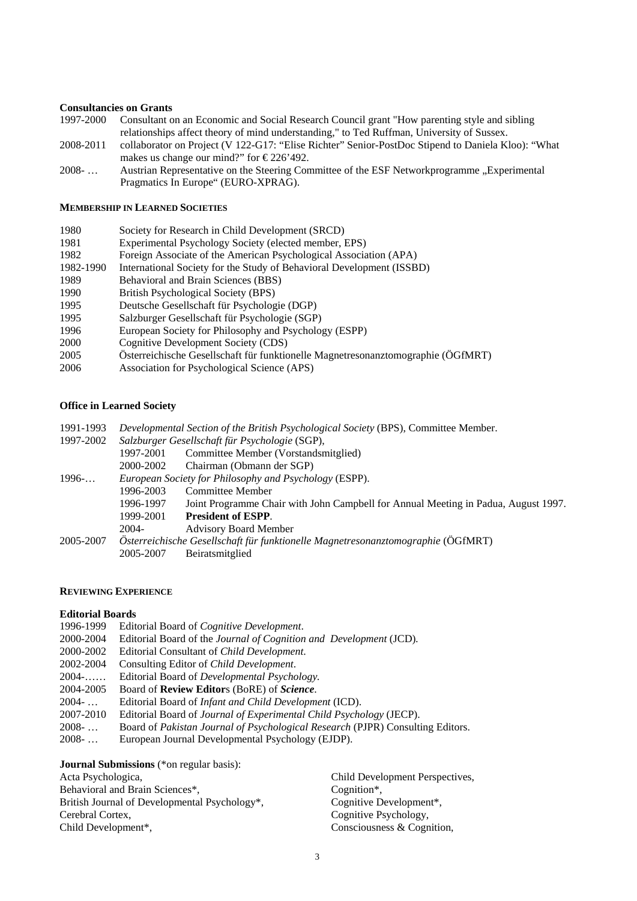## **Consultancies on Grants**

- 1997-2000 Consultant on an Economic and Social Research Council grant "How parenting style and sibling relationships affect theory of mind understanding," to Ted Ruffman, University of Sussex.
- 2008-2011 collaborator on Project (V 122-G17: "Elise Richter" Senior-PostDoc Stipend to Daniela Kloo): "What makes us change our mind?" for  $\epsilon$ 226'492.
- 2008- ... Austrian Representative on the Steering Committee of the ESF Networkprogramme "Experimental Pragmatics In Europe" (EURO-XPRAG).

## **MEMBERSHIP IN LEARNED SOCIETIES**

| Society for Research in Child Development (SRCD)                                 |
|----------------------------------------------------------------------------------|
| Experimental Psychology Society (elected member, EPS)                            |
| Foreign Associate of the American Psychological Association (APA)                |
| International Society for the Study of Behavioral Development (ISSBD)            |
| Behavioral and Brain Sciences (BBS)                                              |
| British Psychological Society (BPS)                                              |
| Deutsche Gesellschaft für Psychologie (DGP)                                      |
| Salzburger Gesellschaft für Psychologie (SGP)                                    |
| European Society for Philosophy and Psychology (ESPP)                            |
| Cognitive Development Society (CDS)                                              |
| Österreichische Gesellschaft für funktionelle Magnetresonanztomographie (ÖGfMRT) |
| Association for Psychological Science (APS)                                      |
|                                                                                  |

## **Office in Learned Society**

|                                                                                  | Developmental Section of the British Psychological Society (BPS), Committee Member. |  |
|----------------------------------------------------------------------------------|-------------------------------------------------------------------------------------|--|
| Salzburger Gesellschaft für Psychologie (SGP),<br>1997-2002                      |                                                                                     |  |
| 1997-2001                                                                        | Committee Member (Vorstandsmitglied)                                                |  |
| 2000-2002                                                                        | Chairman (Obmann der SGP)                                                           |  |
| European Society for Philosophy and Psychology (ESPP).                           |                                                                                     |  |
| 1996-2003                                                                        | Committee Member                                                                    |  |
| 1996-1997                                                                        | Joint Programme Chair with John Campbell for Annual Meeting in Padua, August 1997.  |  |
| 1999-2001                                                                        | <b>President of ESPP.</b>                                                           |  |
| 2004-                                                                            | <b>Advisory Board Member</b>                                                        |  |
| Österreichische Gesellschaft für funktionelle Magnetresonanztomographie (ÖGfMRT) |                                                                                     |  |
| 2005-2007                                                                        | Beiratsmitglied                                                                     |  |
|                                                                                  |                                                                                     |  |

## **REVIEWING EXPERIENCE**

## **Editorial Boards**

- 1996-1999 Editorial Board of *Cognitive Development*. 2000-2004 Editorial Board of the *Journal of Cognition and Development* (JCD)*.* 2000-2002 Editorial Consultant of *Child Development*. 2002-2004 Consulting Editor of *Child Development*. 2004-…… Editorial Board of *Developmental Psychology.* 2004-2005 Board of **Review Editor**s (BoRE) of *Science*. 2004- … Editorial Board of *Infant and Child Development* (ICD). 2007-2010 Editorial Board of *Journal of Experimental Child Psychology* (JECP). 2008- … Board of *Pakistan Journal of Psychological Research* (PJPR) Consulting Editors.
- 2008- … European Journal Developmental Psychology (EJDP).

**Journal Submissions** (\*on regular basis):

| Acta Psychologica,                                         | Child Development Perspectives. |
|------------------------------------------------------------|---------------------------------|
| Behavioral and Brain Sciences*,                            | Cognition <sup>*</sup> ,        |
| British Journal of Developmental Psychology <sup>*</sup> . | Cognitive Development*,         |
| Cerebral Cortex,                                           | Cognitive Psychology,           |
| Child Development*,                                        | Consciousness & Cognition,      |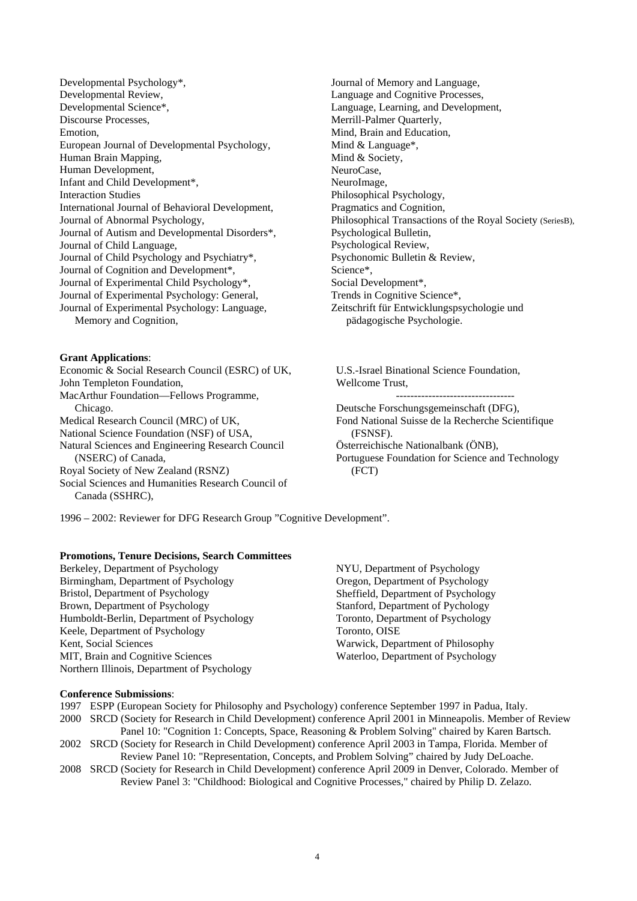Developmental Psychology\*, Developmental Review, Developmental Science\*, Discourse Processes, Emotion, European Journal of Developmental Psychology, Human Brain Mapping, Human Development, Infant and Child Development\*, Interaction Studies International Journal of Behavioral Development, Journal of Abnormal Psychology, Journal of Autism and Developmental Disorders\*, Journal of Child Language, Journal of Child Psychology and Psychiatry\*, Journal of Cognition and Development\*, Journal of Experimental Child Psychology\*, Journal of Experimental Psychology: General, Journal of Experimental Psychology: Language, Memory and Cognition,

**Grant Applications**: Economic & Social Research Council (ESRC) of UK, John Templeton Foundation, MacArthur Foundation—Fellows Programme, Chicago. Medical Research Council (MRC) of UK, National Science Foundation (NSF) of USA, Natural Sciences and Engineering Research Council (NSERC) of Canada, Royal Society of New Zealand (RSNZ) Social Sciences and Humanities Research Council of Canada (SSHRC),

Journal of Memory and Language, Language and Cognitive Processes, Language, Learning, and Development, Merrill-Palmer Quarterly, Mind, Brain and Education, Mind & Language\*, Mind & Society, NeuroCase, NeuroImage, Philosophical Psychology, Pragmatics and Cognition, Philosophical Transactions of the Royal Society (SeriesB), Psychological Bulletin, Psychological Review, Psychonomic Bulletin & Review, Science\*, Social Development\*, Trends in Cognitive Science\*, Zeitschrift für Entwicklungspsychologie und pädagogische Psychologie.

U.S.-Israel Binational Science Foundation, Wellcome Trust,

--------------------------------- Deutsche Forschungsgemeinschaft (DFG),

Fond National Suisse de la Recherche Scientifique (FSNSF).

Österreichische Nationalbank (ÖNB),

Portuguese Foundation for Science and Technology (FCT)

1996 – 2002: Reviewer for DFG Research Group "Cognitive Development".

#### **Promotions, Tenure Decisions, Search Committees**

Berkeley, Department of Psychology Birmingham, Department of Psychology Bristol, Department of Psychology Brown, Department of Psychology Humboldt-Berlin, Department of Psychology Keele, Department of Psychology Kent, Social Sciences MIT, Brain and Cognitive Sciences Northern Illinois, Department of Psychology

NYU, Department of Psychology Oregon, Department of Psychology Sheffield, Department of Psychology Stanford, Department of Pychology Toronto, Department of Psychology Toronto, OISE Warwick, Department of Philosophy Waterloo, Department of Psychology

#### **Conference Submissions**:

- 1997 ESPP (European Society for Philosophy and Psychology) conference September 1997 in Padua, Italy. 2000 SRCD (Society for Research in Child Development) conference April 2001 in Minneapolis. Member of Review Panel 10: "Cognition 1: Concepts, Space, Reasoning & Problem Solving" chaired by Karen Bartsch. 2002 SRCD (Society for Research in Child Development) conference April 2003 in Tampa, Florida. Member of Review Panel 10: "Representation, Concepts, and Problem Solving" chaired by Judy DeLoache.
- 2008 SRCD (Society for Research in Child Development) conference April 2009 in Denver, Colorado. Member of Review Panel 3: "Childhood: Biological and Cognitive Processes," chaired by Philip D. Zelazo.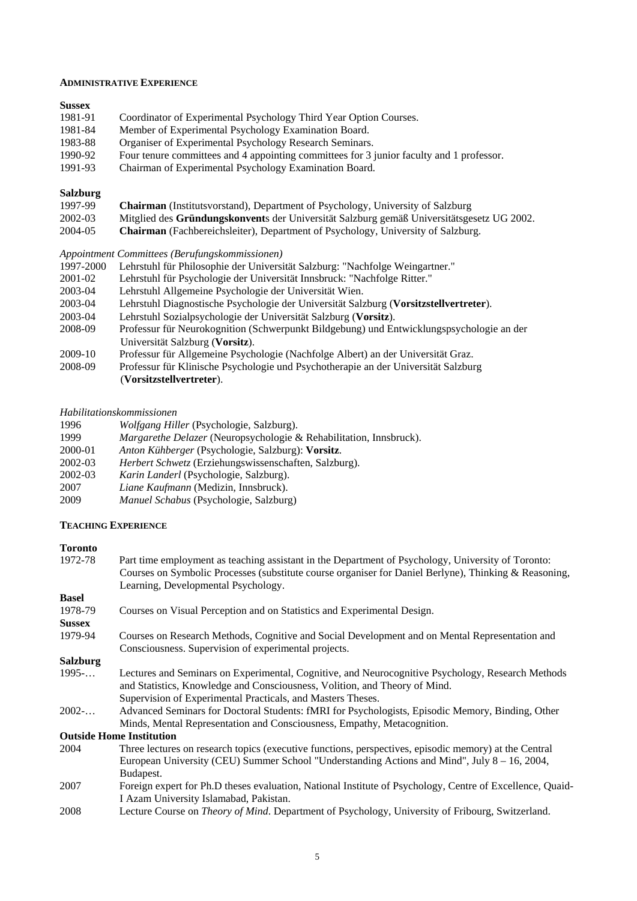#### **ADMINISTRATIVE EXPERIENCE**

#### **Sussex**

| 1981-91 | Coordinator of Experimental Psychology Third Year Option Courses.                        |
|---------|------------------------------------------------------------------------------------------|
| 1981-84 | Member of Experimental Psychology Examination Board.                                     |
| 1983-88 | Organiser of Experimental Psychology Research Seminars.                                  |
| 1990-92 | Four tenure committees and 4 appointing committees for 3 junior faculty and 1 professor. |
| 100102  | $\mathbb{R}$ . $\mathbb{R}$ . $\mathbb{R}$ . $\mathbb{R}$ . $\mathbb{R}$                 |

1991-93 Chairman of Experimental Psychology Examination Board.

## **Salzburg**

| 1997-99  | <b>Chairman</b> (Instituts vorstand), Department of Psychology, University of Salzburg    |
|----------|-------------------------------------------------------------------------------------------|
| 2002-03  | Mitglied des Gründungskonvents der Universität Salzburg gemäß Universitätsgesetz UG 2002. |
| $\cdots$ |                                                                                           |

2004-05 **Chairman** (Fachbereichsleiter), Department of Psychology, University of Salzburg.

*Appointment Committees (Berufungskommissionen)* 

- 1997-2000 Lehrstuhl für Philosophie der Universität Salzburg: "Nachfolge Weingartner."
- 2001-02 Lehrstuhl für Psychologie der Universität Innsbruck: "Nachfolge Ritter."
- 2003-04 Lehrstuhl Allgemeine Psychologie der Universität Wien.
- 2003-04 Lehrstuhl Diagnostische Psychologie der Universität Salzburg (**Vorsitzstellvertreter**).
- 2003-04 Lehrstuhl Sozialpsychologie der Universität Salzburg (**Vorsitz**).
- 2008-09 Professur für Neurokognition (Schwerpunkt Bildgebung) und Entwicklungspsychologie an der Universität Salzburg (**Vorsitz**).
- 2009-10 Professur für Allgemeine Psychologie (Nachfolge Albert) an der Universität Graz.
- 2008-09 Professur für Klinische Psychologie und Psychotherapie an der Universität Salzburg (**Vorsitzstellvertreter**).

#### *Habilitationskommissionen*

| 1996 |  |  | <i>Wolfgang Hiller</i> (Psychologie, Salzburg). |
|------|--|--|-------------------------------------------------|
|      |  |  |                                                 |

- 1999 *Margarethe Delazer* (Neuropsychologie & Rehabilitation, Innsbruck).
- 2000-01 *Anton Kühberger* (Psychologie, Salzburg): **Vorsitz**.
- 2002-03 *Herbert Schwetz* (Erziehungswissenschaften, Salzburg).
- 2002-03 *Karin Landerl* (Psychologie, Salzburg).
- 2007 *Liane Kaufmann* (Medizin, Innsbruck).
- 2009 *Manuel Schabus* (Psychologie, Salzburg)

#### **TEACHING EXPERIENCE**

# **Toronto**

Part time employment as teaching assistant in the Department of Psychology, University of Toronto: Courses on Symbolic Processes (substitute course organiser for Daniel Berlyne), Thinking & Reasoning, Learning, Developmental Psychology.

| <b>Basel</b>    |                                                                                                           |
|-----------------|-----------------------------------------------------------------------------------------------------------|
| 1978-79         | Courses on Visual Perception and on Statistics and Experimental Design.                                   |
| <b>Sussex</b>   |                                                                                                           |
| 1979-94         | Courses on Research Methods, Cognitive and Social Development and on Mental Representation and            |
|                 | Consciousness. Supervision of experimental projects.                                                      |
| <b>Salzburg</b> |                                                                                                           |
| 1995            | Lectures and Seminars on Experimental, Cognitive, and Neurocognitive Psychology, Research Methods         |
|                 | and Statistics, Knowledge and Consciousness, Volition, and Theory of Mind.                                |
|                 | Supervision of Experimental Practicals, and Masters Theses.                                               |
| $2002$ -        | Advanced Seminars for Doctoral Students: fMRI for Psychologists, Episodic Memory, Binding, Other          |
|                 | Minds, Mental Representation and Consciousness, Empathy, Metacognition.                                   |
|                 | <b>Outside Home Institution</b>                                                                           |
| 2004            | Three lectures on research topics (executive functions, perspectives, episodic memory) at the Central     |
|                 | European University (CEU) Summer School "Understanding Actions and Mind", July $8 - 16$ , 2004,           |
|                 | Budapest.                                                                                                 |
| 2007            | Foreign expert for Ph.D theses evaluation, National Institute of Psychology, Centre of Excellence, Quaid- |
|                 | I Azam University Islamabad, Pakistan.                                                                    |
|                 |                                                                                                           |

2008 Lecture Course on *Theory of Mind*. Department of Psychology, University of Fribourg, Switzerland.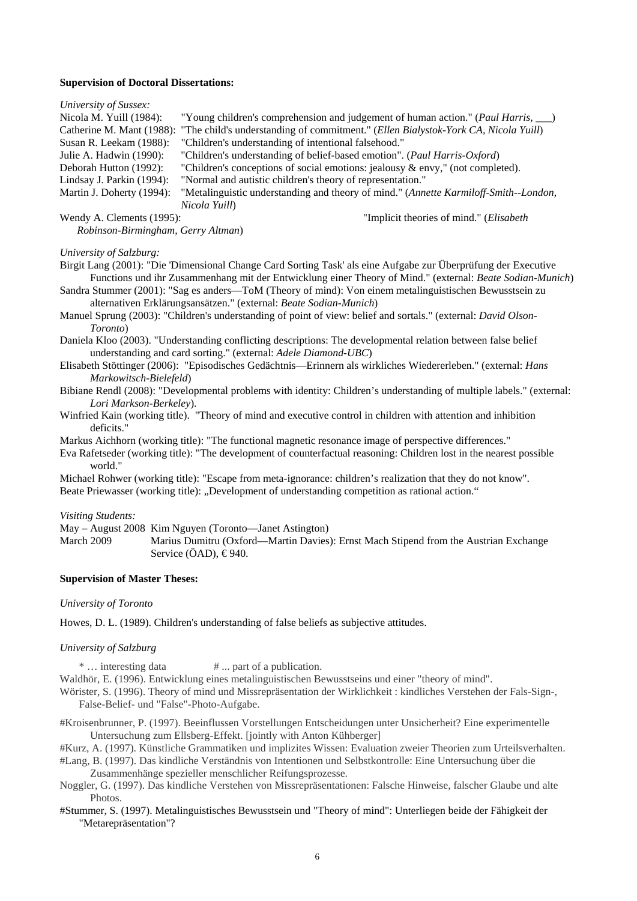#### **Supervision of Doctoral Dissertations:**

#### *University of Sussex:*

| Nicola M. Yuill $(1984)$ : | "Young children's comprehension and judgement of human action." (Paul Harris, __)    |
|----------------------------|--------------------------------------------------------------------------------------|
| Catherine M. Mant (1988):  | "The child's understanding of commitment." (Ellen Bialystok-York CA, Nicola Yuill)   |
| Susan R. Leekam (1988):    | "Children's understanding of intentional falsehood."                                 |
| Julie A. Hadwin (1990):    | "Children's understanding of belief-based emotion". (Paul Harris-Oxford)             |
| Deborah Hutton (1992):     | "Children's conceptions of social emotions: jealousy & envy," (not completed).       |
| Lindsay J. Parkin (1994):  | "Normal and autistic children's theory of representation."                           |
| Martin J. Doherty (1994):  | "Metalinguistic understanding and theory of mind." (Annette Karmiloff-Smith--London, |
|                            | Nicola Yuill)                                                                        |
| Wendy A. Clements (1995):  | "Implicit theories of mind." ( <i>Elisabeth</i> )                                    |

*Robinson-Birmingham, Gerry Altman*)

## *University of Salzburg:*

Birgit Lang (2001): "Die 'Dimensional Change Card Sorting Task' als eine Aufgabe zur Überprüfung der Executive Functions und ihr Zusammenhang mit der Entwicklung einer Theory of Mind." (external: *Beate Sodian-Munich*)

Sandra Stummer (2001): "Sag es anders—ToM (Theory of mind): Von einem metalinguistischen Bewusstsein zu alternativen Erklärungsansätzen." (external: *Beate Sodian-Munich*)

Manuel Sprung (2003): "Children's understanding of point of view: belief and sortals." (external: *David Olson-Toronto*)

Daniela Kloo (2003). "Understanding conflicting descriptions: The developmental relation between false belief understanding and card sorting." (external: *Adele Diamond-UBC*)

- Elisabeth Stöttinger (2006): "Episodisches Gedächtnis—Erinnern als wirkliches Wiedererleben." (external: *Hans Markowitsch-Bielefeld*)
- Bibiane Rendl (2008): "Developmental problems with identity: Children's understanding of multiple labels." (external: *Lori Markson-Berkeley*).
- Winfried Kain (working title). "Theory of mind and executive control in children with attention and inhibition deficits."

Markus Aichhorn (working title): "The functional magnetic resonance image of perspective differences."

Eva Rafetseder (working title): "The development of counterfactual reasoning: Children lost in the nearest possible world."

Michael Rohwer (working title): "Escape from meta-ignorance: children's realization that they do not know". Beate Priewasser (working title): "Development of understanding competition as rational action."

#### *Visiting Students:*

May – August 2008 Kim Nguyen (Toronto—Janet Astington)

March 2009 Marius Dumitru (Oxford—Martin Davies): Ernst Mach Stipend from the Austrian Exchange Service (ÖAD), €940.

#### **Supervision of Master Theses:**

#### *University of Toronto*

Howes, D. L. (1989). Children's understanding of false beliefs as subjective attitudes.

#### *University of Salzburg*

\* ... interesting data  $\# \dots$  part of a publication.

Waldhör, E. (1996). Entwicklung eines metalinguistischen Bewusstseins und einer "theory of mind".

Wörister, S. (1996). Theory of mind und Missrepräsentation der Wirklichkeit : kindliches Verstehen der Fals-Sign-, False-Belief- und "False"-Photo-Aufgabe.

#Kroisenbrunner, P. (1997). Beeinflussen Vorstellungen Entscheidungen unter Unsicherheit? Eine experimentelle Untersuchung zum Ellsberg-Effekt. [jointly with Anton Kühberger]

#Kurz, A. (1997). Künstliche Grammatiken und implizites Wissen: Evaluation zweier Theorien zum Urteilsverhalten.

- #Lang, B. (1997). Das kindliche Verständnis von Intentionen und Selbstkontrolle: Eine Untersuchung über die Zusammenhänge spezieller menschlicher Reifungsprozesse.
- Noggler, G. (1997). Das kindliche Verstehen von Missrepräsentationen: Falsche Hinweise, falscher Glaube und alte Photos.
- #Stummer, S. (1997). Metalinguistisches Bewusstsein und "Theory of mind": Unterliegen beide der Fähigkeit der "Metarepräsentation"?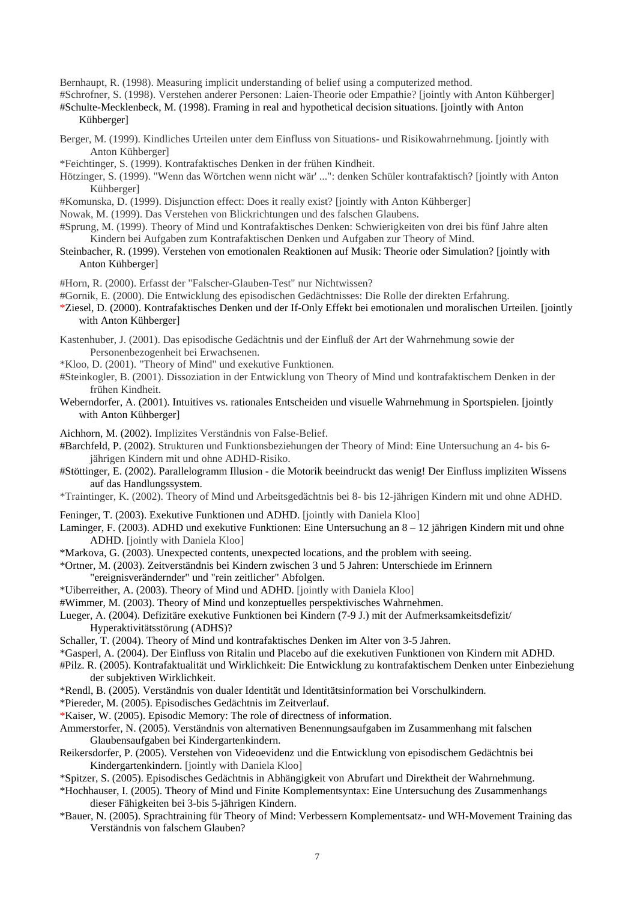Bernhaupt, R. (1998). Measuring implicit understanding of belief using a computerized method.

#Schrofner, S. (1998). Verstehen anderer Personen: Laien-Theorie oder Empathie? [jointly with Anton Kühberger]

#Schulte-Mecklenbeck, M. (1998). Framing in real and hypothetical decision situations. [jointly with Anton Kühberger]

- Berger, M. (1999). Kindliches Urteilen unter dem Einfluss von Situations- und Risikowahrnehmung. [jointly with Anton Kühberger]
- \*Feichtinger, S. (1999). Kontrafaktisches Denken in der frühen Kindheit.
- Hötzinger, S. (1999). "Wenn das Wörtchen wenn nicht wär' ...": denken Schüler kontrafaktisch? [jointly with Anton Kühberger]
- #Komunska, D. (1999). Disjunction effect: Does it really exist? [jointly with Anton Kühberger]
- Nowak, M. (1999). Das Verstehen von Blickrichtungen und des falschen Glaubens.
- #Sprung, M. (1999). Theory of Mind und Kontrafaktisches Denken: Schwierigkeiten von drei bis fünf Jahre alten Kindern bei Aufgaben zum Kontrafaktischen Denken und Aufgaben zur Theory of Mind.
- Steinbacher, R. (1999). Verstehen von emotionalen Reaktionen auf Musik: Theorie oder Simulation? [jointly with Anton Kühberger]
- #Horn, R. (2000). Erfasst der "Falscher-Glauben-Test" nur Nichtwissen?
- #Gornik, E. (2000). Die Entwicklung des episodischen Gedächtnisses: Die Rolle der direkten Erfahrung.
- \*Ziesel, D. (2000). Kontrafaktisches Denken und der If-Only Effekt bei emotionalen und moralischen Urteilen. [jointly with Anton Kühberger]
- Kastenhuber, J. (2001). Das episodische Gedächtnis und der Einfluß der Art der Wahrnehmung sowie der Personenbezogenheit bei Erwachsenen.
- \*Kloo, D. (2001). "Theory of Mind" und exekutive Funktionen.
- #Steinkogler, B. (2001). Dissoziation in der Entwicklung von Theory of Mind und kontrafaktischem Denken in der frühen Kindheit.
- Weberndorfer, A. (2001). Intuitives vs. rationales Entscheiden und visuelle Wahrnehmung in Sportspielen. [jointly with Anton Kühberger]

Aichhorn, M. (2002). Implizites Verständnis von False-Belief.

#Barchfeld, P. (2002). Strukturen und Funktionsbeziehungen der Theory of Mind: Eine Untersuchung an 4- bis 6 jährigen Kindern mit und ohne ADHD-Risiko.

- #Stöttinger, E. (2002). Parallelogramm Illusion die Motorik beeindruckt das wenig! Der Einfluss impliziten Wissens auf das Handlungssystem.
- \*Traintinger, K. (2002). Theory of Mind und Arbeitsgedächtnis bei 8- bis 12-jährigen Kindern mit und ohne ADHD.
- Feninger, T. (2003). Exekutive Funktionen und ADHD. [jointly with Daniela Kloo]
- Laminger, F. (2003). ADHD und exekutive Funktionen: Eine Untersuchung an 8 12 jährigen Kindern mit und ohne ADHD. [jointly with Daniela Kloo]
- \*Markova, G. (2003). Unexpected contents, unexpected locations, and the problem with seeing.
- \*Ortner, M. (2003). Zeitverständnis bei Kindern zwischen 3 und 5 Jahren: Unterschiede im Erinnern "ereignisverändernder" und "rein zeitlicher" Abfolgen.
- \*Uiberreither, A. (2003). Theory of Mind und ADHD. [jointly with Daniela Kloo]
- #Wimmer, M. (2003). Theory of Mind und konzeptuelles perspektivisches Wahrnehmen.

Lueger, A. (2004). Defizitäre exekutive Funktionen bei Kindern (7-9 J.) mit der Aufmerksamkeitsdefizit/ Hyperaktivitätsstörung (ADHS)?

- Schaller, T. (2004). Theory of Mind und kontrafaktisches Denken im Alter von 3-5 Jahren.
- \*Gasperl, A. (2004). Der Einfluss von Ritalin und Placebo auf die exekutiven Funktionen von Kindern mit ADHD.

#Pilz. R. (2005). Kontrafaktualität und Wirklichkeit: Die Entwicklung zu kontrafaktischem Denken unter Einbeziehung der subjektiven Wirklichkeit.

- \*Rendl, B. (2005). Verständnis von dualer Identität und Identitätsinformation bei Vorschulkindern.
- \*Piereder, M. (2005). Episodisches Gedächtnis im Zeitverlauf.
- \*Kaiser, W. (2005). Episodic Memory: The role of directness of information.
- Ammerstorfer, N. (2005). Verständnis von alternativen Benennungsaufgaben im Zusammenhang mit falschen Glaubensaufgaben bei Kindergartenkindern.
- Reikersdorfer, P. (2005). Verstehen von Videoevidenz und die Entwicklung von episodischem Gedächtnis bei Kindergartenkindern. [jointly with Daniela Kloo]
- \*Spitzer, S. (2005). Episodisches Gedächtnis in Abhängigkeit von Abrufart und Direktheit der Wahrnehmung.
- \*Hochhauser, I. (2005). Theory of Mind und Finite Komplementsyntax: Eine Untersuchung des Zusammenhangs dieser Fähigkeiten bei 3-bis 5-jährigen Kindern.
- \*Bauer, N. (2005). Sprachtraining für Theory of Mind: Verbessern Komplementsatz- und WH-Movement Training das Verständnis von falschem Glauben?